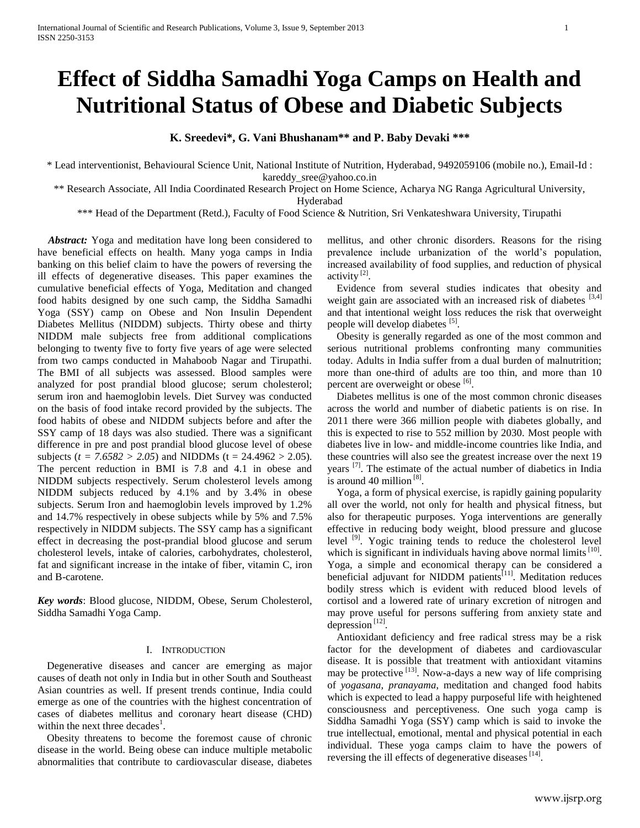# **Effect of Siddha Samadhi Yoga Camps on Health and Nutritional Status of Obese and Diabetic Subjects**

**K. Sreedevi\*, G. Vani Bhushanam\*\* and P. Baby Devaki \*\*\***

\* Lead interventionist, Behavioural Science Unit, National Institute of Nutrition, Hyderabad, 9492059106 (mobile no.), Email-Id : kareddy sree@yahoo.co.in

\*\* Research Associate, All India Coordinated Research Project on Home Science, Acharya NG Ranga Agricultural University,

Hyderabad

\*\*\* Head of the Department (Retd.), Faculty of Food Science & Nutrition, Sri Venkateshwara University, Tirupathi

Abstract: Yoga and meditation have long been considered to have beneficial effects on health. Many yoga camps in India banking on this belief claim to have the powers of reversing the ill effects of degenerative diseases. This paper examines the cumulative beneficial effects of Yoga, Meditation and changed food habits designed by one such camp, the Siddha Samadhi Yoga (SSY) camp on Obese and Non Insulin Dependent Diabetes Mellitus (NIDDM) subjects. Thirty obese and thirty NIDDM male subjects free from additional complications belonging to twenty five to forty five years of age were selected from two camps conducted in Mahaboob Nagar and Tirupathi. The BMI of all subjects was assessed. Blood samples were analyzed for post prandial blood glucose; serum cholesterol; serum iron and haemoglobin levels. Diet Survey was conducted on the basis of food intake record provided by the subjects. The food habits of obese and NIDDM subjects before and after the SSY camp of 18 days was also studied. There was a significant difference in pre and post prandial blood glucose level of obese subjects ( $t = 7.6582 > 2.05$ ) and NIDDMs ( $t = 24.4962 > 2.05$ ). The percent reduction in BMI is 7.8 and 4.1 in obese and NIDDM subjects respectively. Serum cholesterol levels among NIDDM subjects reduced by 4.1% and by 3.4% in obese subjects. Serum Iron and haemoglobin levels improved by 1.2% and 14.7% respectively in obese subjects while by 5% and 7.5% respectively in NIDDM subjects. The SSY camp has a significant effect in decreasing the post-prandial blood glucose and serum cholesterol levels, intake of calories, carbohydrates, cholesterol, fat and significant increase in the intake of fiber, vitamin C, iron and B-carotene.

*Key words*: Blood glucose, NIDDM, Obese, Serum Cholesterol, Siddha Samadhi Yoga Camp.

## I. INTRODUCTION

Degenerative diseases and cancer are emerging as major causes of death not only in India but in other South and Southeast Asian countries as well. If present trends continue, India could emerge as one of the countries with the highest concentration of cases of diabetes mellitus and coronary heart disease (CHD) within the next three decades<sup>1</sup>.

Obesity threatens to become the foremost cause of chronic disease in the world. Being obese can induce multiple metabolic abnormalities that contribute to cardiovascular disease, diabetes

mellitus, and other chronic disorders. Reasons for the rising prevalence include urbanization of the world's population, increased availability of food supplies, and reduction of physical activity<sup>[2]</sup>.

Evidence from several studies indicates that obesity and weight gain are associated with an increased risk of diabetes [3,4] and that intentional weight loss reduces the risk that overweight people will develop diabetes [5].

Obesity is generally regarded as one of the most common and serious nutritional problems confronting many communities today. Adults in India suffer from a dual burden of malnutrition; more than one-third of adults are too thin, and more than 10 percent are overweight or obese [6].

Diabetes mellitus is one of the most common chronic diseases across the world and number of diabetic patients is on rise. In 2011 there were 366 million people with diabetes globally, and this is expected to rise to 552 million by 2030. Most people with diabetes live in low- and middle-income countries like India, and these countries will also see the greatest increase over the next 19 years<sup>[7]</sup>. The estimate of the actual number of diabetics in India is around 40 million<sup>[8]</sup>.

Yoga, a form of physical exercise, is rapidly gaining popularity all over the world, not only for health and physical fitness, but also for therapeutic purposes. Yoga interventions are generally effective in reducing body weight, blood pressure and glucose level <sup>[9]</sup>. Yogic training tends to reduce the cholesterol level which is significant in individuals having above normal limits  $[10]$ . Yoga, a simple and economical therapy can be considered a beneficial adjuvant for NIDDM patients<sup>[11]</sup>. Meditation reduces bodily stress which is evident with reduced blood levels of cortisol and a lowered rate of urinary excretion of nitrogen and may prove useful for persons suffering from anxiety state and depression  $^{[12]}$ .

Antioxidant deficiency and free radical stress may be a risk factor for the development of diabetes and cardiovascular disease. It is possible that treatment with antioxidant vitamins may be protective  $^{[13]}$ . Now-a-days a new way of life comprising of *yogasana, pranayama*, meditation and changed food habits which is expected to lead a happy purposeful life with heightened consciousness and perceptiveness. One such yoga camp is Siddha Samadhi Yoga (SSY) camp which is said to invoke the true intellectual, emotional, mental and physical potential in each individual. These yoga camps claim to have the powers of reversing the ill effects of degenerative diseases<sup>[14]</sup>.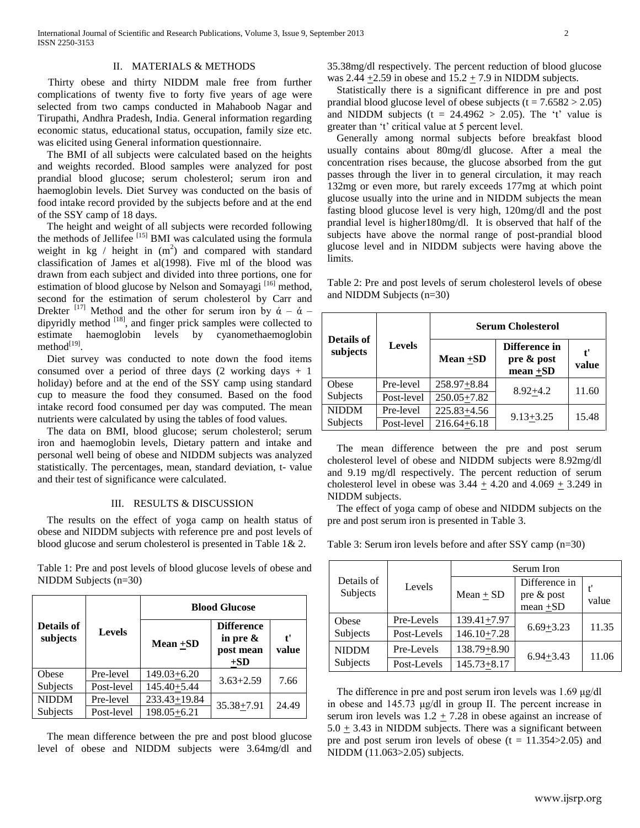# II. MATERIALS & METHODS

 Thirty obese and thirty NIDDM male free from further complications of twenty five to forty five years of age were selected from two camps conducted in Mahaboob Nagar and Tirupathi, Andhra Pradesh, India. General information regarding economic status, educational status, occupation, family size etc. was elicited using General information questionnaire.

The BMI of all subjects were calculated based on the heights and weights recorded. Blood samples were analyzed for post prandial blood glucose; serum cholesterol; serum iron and haemoglobin levels. Diet Survey was conducted on the basis of food intake record provided by the subjects before and at the end of the SSY camp of 18 days.

The height and weight of all subjects were recorded following the methods of Jellifee [15] BMI was calculated using the formula weight in  $kg /$  height in  $(m<sup>2</sup>)$  and compared with standard classification of James et al(1998). Five ml of the blood was drawn from each subject and divided into three portions, one for estimation of blood glucose by Nelson and Somayagi<sup>[16]</sup> method, second for the estimation of serum cholesterol by Carr and Drekter <sup>[17]</sup> Method and the other for serum iron by  $\dot{\alpha} - \dot{\alpha}$  – dipyridly method <sup>[18]</sup>, and finger prick samples were collected to estimate haemoglobin levels by cyanomethaemoglobin method $^{[19]}$ .

Diet survey was conducted to note down the food items consumed over a period of three days  $(2 \text{ working days } + 1)$ holiday) before and at the end of the SSY camp using standard cup to measure the food they consumed. Based on the food intake record food consumed per day was computed. The mean nutrients were calculated by using the tables of food values.

The data on BMI, blood glucose; serum cholesterol; serum iron and haemoglobin levels, Dietary pattern and intake and personal well being of obese and NIDDM subjects was analyzed statistically. The percentages, mean, standard deviation, t- value and their test of significance were calculated.

# III. RESULTS & DISCUSSION

The results on the effect of yoga camp on health status of obese and NIDDM subjects with reference pre and post levels of blood glucose and serum cholesterol is presented in Table 1& 2.

Table 1: Pre and post levels of blood glucose levels of obese and NIDDM Subjects (n=30)

|                        |               | <b>Blood Glucose</b> |                                                        |            |  |
|------------------------|---------------|----------------------|--------------------------------------------------------|------------|--|
| Details of<br>subjects | <b>Levels</b> | Mean +SD             | <b>Difference</b><br>in pre $\&$<br>post mean<br>$+SD$ | ť<br>value |  |
| Obese                  | Pre-level     | $149.03 + 6.20$      | $3.63 + 2.59$                                          | 7.66       |  |
| Subjects               | Post-level    | 145.40+5.44          |                                                        |            |  |
| <b>NIDDM</b>           | Pre-level     | $233.43 \pm 19.84$   | $35.38 + 7.91$                                         | 24.49      |  |
| <b>Subjects</b>        | Post-level    | $198.05 + 6.21$      |                                                        |            |  |

The mean difference between the pre and post blood glucose level of obese and NIDDM subjects were 3.64mg/dl and 35.38mg/dl respectively. The percent reduction of blood glucose was 2.44  $\pm$ 2.59 in obese and 15.2  $\pm$  7.9 in NIDDM subjects.

Statistically there is a significant difference in pre and post prandial blood glucose level of obese subjects ( $t = 7.6582 > 2.05$ ) and NIDDM subjects ( $t = 24.4962 > 2.05$ ). The 't' value is greater than 't' critical value at 5 percent level.

Generally among normal subjects before breakfast blood usually contains about 80mg/dl glucose. After a meal the concentration rises because, the glucose absorbed from the gut passes through the liver in to general circulation, it may reach 132mg or even more, but rarely exceeds 177mg at which point glucose usually into the urine and in NIDDM subjects the mean fasting blood glucose level is very high, 120mg/dl and the post prandial level is higher180mg/dl. It is observed that half of the subjects have above the normal range of post-prandial blood glucose level and in NIDDM subjects were having above the limits.

Table 2: Pre and post levels of serum cholesterol levels of obese and NIDDM Subjects (n=30)

|                        |               | <b>Serum Cholesterol</b> |                                            |            |  |
|------------------------|---------------|--------------------------|--------------------------------------------|------------|--|
| Details of<br>subjects | <b>Levels</b> | Mean +SD                 | Difference in<br>pre & post<br>$mean + SD$ | ť<br>value |  |
| Obese                  | Pre-level     | 258.97+8.84              | $8.92 + 4.2$                               | 11.60      |  |
| Subjects               | Post-level    | $250.05 + 7.82$          |                                            |            |  |
| <b>NIDDM</b>           | Pre-level     | 225.83+4.56              | $9.13 + 3.25$                              | 15.48      |  |
| Subjects               | Post-level    | $216.64 + 6.18$          |                                            |            |  |

The mean difference between the pre and post serum cholesterol level of obese and NIDDM subjects were 8.92mg/dl and 9.19 mg/dl respectively. The percent reduction of serum cholesterol level in obese was  $3.44 \pm 4.20$  and  $4.069 \pm 3.249$  in NIDDM subjects.

The effect of yoga camp of obese and NIDDM subjects on the pre and post serum iron is presented in Table 3.

Table 3: Serum iron levels before and after SSY camp (n=30)

|                          |             | Serum Iron      |                                            |       |
|--------------------------|-------------|-----------------|--------------------------------------------|-------|
| Details of<br>Subjects   | Levels      | $Mean + SD$     | Difference in<br>pre & post<br>$mean + SD$ | value |
| Obese<br>Subjects        | Pre-Levels  | $139.41 + 7.97$ | $6.69 + 3.23$                              | 11.35 |
|                          | Post-Levels | $146.10 + 7.28$ |                                            |       |
| <b>NIDDM</b><br>Subjects | Pre-Levels  | $138.79 + 8.90$ | $6.94 + 3.43$                              | 11.06 |
|                          | Post-Levels | $145.73 + 8.17$ |                                            |       |

The difference in pre and post serum iron levels was 1.69 μg/dl in obese and 145.73 μg/dl in group II. The percent increase in serum iron levels was  $1.2 + 7.28$  in obese against an increase of  $5.0 \pm 3.43$  in NIDDM subjects. There was a significant between pre and post serum iron levels of obese  $(t = 11.354 > 2.05)$  and NIDDM (11.063>2.05) subjects.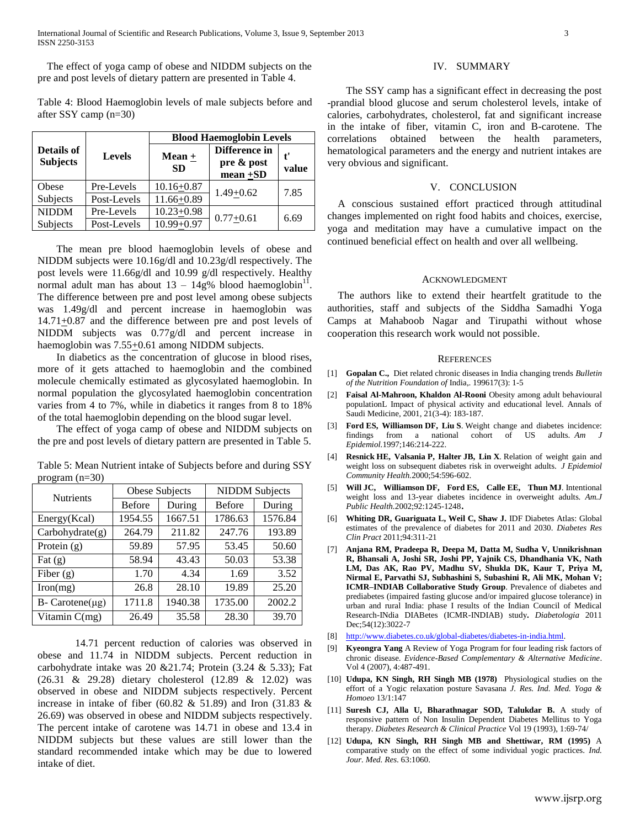International Journal of Scientific and Research Publications, Volume 3, Issue 9, September 2013 3 ISSN 2250-3153

The effect of yoga camp of obese and NIDDM subjects on the pre and post levels of dietary pattern are presented in Table 4.

Table 4: Blood Haemoglobin levels of male subjects before and after SSY camp (n=30)

|                               |               | <b>Blood Haemoglobin Levels</b> |                                            |             |
|-------------------------------|---------------|---------------------------------|--------------------------------------------|-------------|
| Details of<br><b>Subjects</b> | <b>Levels</b> | $Mean +$<br><b>SD</b>           | Difference in<br>pre & post<br>$mean + SD$ | t'<br>value |
| Obese                         | Pre-Levels    | $10.16 + 0.87$                  | $1.49 + 0.62$                              | 7.85        |
| Subjects                      | Post-Levels   | $11.66 + 0.89$                  |                                            |             |
| <b>NIDDM</b>                  | Pre-Levels    | $10.23 + 0.98$                  |                                            | 6.69        |
| Subjects                      | Post-Levels   | $10.99 + 0.97$                  | $0.77 + 0.61$                              |             |

The mean pre blood haemoglobin levels of obese and NIDDM subjects were 10.16g/dl and 10.23g/dl respectively. The post levels were 11.66g/dl and 10.99 g/dl respectively. Healthy normal adult man has about  $13 - 14g\%$  blood haemoglobin<sup>11</sup>. The difference between pre and post level among obese subjects was 1.49g/dl and percent increase in haemoglobin was  $14.71+0.87$  and the difference between pre and post levels of NIDDM subjects was 0.77g/dl and percent increase in haemoglobin was 7.55+0.61 among NIDDM subjects.

In diabetics as the concentration of glucose in blood rises, more of it gets attached to haemoglobin and the combined molecule chemically estimated as glycosylated haemoglobin. In normal population the glycosylated haemoglobin concentration varies from 4 to 7%, while in diabetics it ranges from 8 to 18% of the total haemoglobin depending on the blood sugar level.

The effect of yoga camp of obese and NIDDM subjects on the pre and post levels of dietary pattern are presented in Table 5.

| <b>Nutrients</b>  | Obese Subjects |         | <b>NIDDM</b> Subjects |         |
|-------------------|----------------|---------|-----------------------|---------|
|                   | <b>Before</b>  | During  | <b>Before</b>         | During  |
| Energy(Kcal)      | 1954.55        | 1667.51 | 1786.63               | 1576.84 |
| Carbohydrate(g)   | 264.79         | 211.82  | 247.76                | 193.89  |
| Protein $(g)$     | 59.89          | 57.95   | 53.45                 | 50.60   |
| Fat $(g)$         | 58.94          | 43.43   | 50.03                 | 53.38   |
| Fiber $(g)$       | 1.70           | 4.34    | 1.69                  | 3.52    |
| $\text{Iron}(mg)$ | 26.8           | 28.10   | 19.89                 | 25.20   |
| $B-$ Carotene(µg) | 1711.8         | 1940.38 | 1735.00               | 2002.2  |
| Vitamin C(mg)     | 26.49          | 35.58   | 28.30                 | 39.70   |

Table 5: Mean Nutrient intake of Subjects before and during SSY program (n=30)

14.71 percent reduction of calories was observed in obese and 11.74 in NIDDM subjects. Percent reduction in carbohydrate intake was 20 & 21.74; Protein  $(3.24 \& 5.33)$ ; Fat (26.31 & 29.28) dietary cholesterol (12.89 & 12.02) was observed in obese and NIDDM subjects respectively. Percent increase in intake of fiber (60.82  $& 51.89$ ) and Iron (31.83  $& 51.89$ ) 26.69) was observed in obese and NIDDM subjects respectively. The percent intake of carotene was 14.71 in obese and 13.4 in NIDDM subjects but these values are still lower than the standard recommended intake which may be due to lowered intake of diet.

## IV. SUMMARY

The SSY camp has a significant effect in decreasing the post -prandial blood glucose and serum cholesterol levels, intake of calories, carbohydrates, cholesterol, fat and significant increase in the intake of fiber, vitamin C, iron and B-carotene. The correlations obtained between the health parameters, hematological parameters and the energy and nutrient intakes are very obvious and significant.

# V. CONCLUSION

A conscious sustained effort practiced through attitudinal changes implemented on right food habits and choices, exercise, yoga and meditation may have a cumulative impact on the continued beneficial effect on health and over all wellbeing.

### ACKNOWLEDGMENT

The authors like to extend their heartfelt gratitude to the authorities, staff and subjects of the Siddha Samadhi Yoga Camps at Mahaboob Nagar and Tirupathi without whose cooperation this research work would not possible.

#### **REFERENCES**

- [1] **Gopalan C.,** Diet related chronic diseases in India changing trends *Bulletin of the Nutrition Foundation of* India,. 199617(3): 1-5
- [2] **Faisal Al-Mahroon, Khaldon Al-Rooni** Obesity among adult behavioural populationL Impact of physical activity and educational level. Annals of Saudi Medicine, 2001, 21(3-4): 183-187.
- [3] **Ford ES, Williamson DF, Liu S**. Weight change and diabetes incidence: findings from a national cohort of US adults. Am *Epidemiol.*1997;146:214-222.
- [4] **Resnick HE, Valsania P, Halter JB, Lin X**. Relation of weight gain and weight loss on subsequent diabetes risk in overweight adults. *J Epidemiol Community Health.*2000;54:596-602.
- [5] **Will JC, Williamson DF, Ford ES, Calle EE, Thun MJ**. Intentional weight loss and 13-year diabetes incidence in overweight adults. *Am.J Public Health.*2002;92:1245-1248.
- [6] **Whiting DR, Guariguata L, Weil C, Shaw J.** IDF Diabetes Atlas: Global estimates of the prevalence of diabetes for 2011 and 2030. *Diabetes Res Clin Pract* 2011;94:311-21
- [7] **[Anjana RM,](http://www.ncbi.nlm.nih.gov/pubmed?term=Anjana%20RM%5BAuthor%5D&cauthor=true&cauthor_uid=21959957) [Pradeepa R,](http://www.ncbi.nlm.nih.gov/pubmed?term=Pradeepa%20R%5BAuthor%5D&cauthor=true&cauthor_uid=21959957) [Deepa M,](http://www.ncbi.nlm.nih.gov/pubmed?term=Deepa%20M%5BAuthor%5D&cauthor=true&cauthor_uid=21959957) [Datta M,](http://www.ncbi.nlm.nih.gov/pubmed?term=Datta%20M%5BAuthor%5D&cauthor=true&cauthor_uid=21959957) [Sudha V,](http://www.ncbi.nlm.nih.gov/pubmed?term=Sudha%20V%5BAuthor%5D&cauthor=true&cauthor_uid=21959957) [Unnikrishnan](http://www.ncbi.nlm.nih.gov/pubmed?term=Unnikrishnan%20R%5BAuthor%5D&cauthor=true&cauthor_uid=21959957)  [R,](http://www.ncbi.nlm.nih.gov/pubmed?term=Unnikrishnan%20R%5BAuthor%5D&cauthor=true&cauthor_uid=21959957) [Bhansali A,](http://www.ncbi.nlm.nih.gov/pubmed?term=Bhansali%20A%5BAuthor%5D&cauthor=true&cauthor_uid=21959957) [Joshi SR,](http://www.ncbi.nlm.nih.gov/pubmed?term=Joshi%20SR%5BAuthor%5D&cauthor=true&cauthor_uid=21959957) [Joshi PP,](http://www.ncbi.nlm.nih.gov/pubmed?term=Joshi%20PP%5BAuthor%5D&cauthor=true&cauthor_uid=21959957) [Yajnik CS,](http://www.ncbi.nlm.nih.gov/pubmed?term=Yajnik%20CS%5BAuthor%5D&cauthor=true&cauthor_uid=21959957) [Dhandhania VK,](http://www.ncbi.nlm.nih.gov/pubmed?term=Dhandhania%20VK%5BAuthor%5D&cauthor=true&cauthor_uid=21959957) [Nath](http://www.ncbi.nlm.nih.gov/pubmed?term=Nath%20LM%5BAuthor%5D&cauthor=true&cauthor_uid=21959957)  [LM,](http://www.ncbi.nlm.nih.gov/pubmed?term=Nath%20LM%5BAuthor%5D&cauthor=true&cauthor_uid=21959957) [Das AK,](http://www.ncbi.nlm.nih.gov/pubmed?term=Das%20AK%5BAuthor%5D&cauthor=true&cauthor_uid=21959957) [Rao PV,](http://www.ncbi.nlm.nih.gov/pubmed?term=Rao%20PV%5BAuthor%5D&cauthor=true&cauthor_uid=21959957) [Madhu SV,](http://www.ncbi.nlm.nih.gov/pubmed?term=Madhu%20SV%5BAuthor%5D&cauthor=true&cauthor_uid=21959957) [Shukla DK,](http://www.ncbi.nlm.nih.gov/pubmed?term=Shukla%20DK%5BAuthor%5D&cauthor=true&cauthor_uid=21959957) [Kaur T,](http://www.ncbi.nlm.nih.gov/pubmed?term=Kaur%20T%5BAuthor%5D&cauthor=true&cauthor_uid=21959957) [Priya M,](http://www.ncbi.nlm.nih.gov/pubmed?term=Priya%20M%5BAuthor%5D&cauthor=true&cauthor_uid=21959957) [Nirmal E,](http://www.ncbi.nlm.nih.gov/pubmed?term=Nirmal%20E%5BAuthor%5D&cauthor=true&cauthor_uid=21959957) [Parvathi SJ,](http://www.ncbi.nlm.nih.gov/pubmed?term=Parvathi%20SJ%5BAuthor%5D&cauthor=true&cauthor_uid=21959957) [Subhashini S,](http://www.ncbi.nlm.nih.gov/pubmed?term=Subhashini%20S%5BAuthor%5D&cauthor=true&cauthor_uid=21959957) [Subashini R,](http://www.ncbi.nlm.nih.gov/pubmed?term=Subashini%20R%5BAuthor%5D&cauthor=true&cauthor_uid=21959957) [Ali MK,](http://www.ncbi.nlm.nih.gov/pubmed?term=Ali%20MK%5BAuthor%5D&cauthor=true&cauthor_uid=21959957) [Mohan V;](http://www.ncbi.nlm.nih.gov/pubmed?term=Mohan%20V%5BAuthor%5D&cauthor=true&cauthor_uid=21959957) [ICMR–INDIAB Collaborative Study Group](http://www.ncbi.nlm.nih.gov/pubmed?term=ICMR%E2%80%93INDIAB%20Collaborative%20Study%20Group%5BCorporate%20Author%5D)**. Prevalence of diabetes and prediabetes (impaired fasting glucose and/or impaired glucose tolerance) in urban and rural India: phase I results of the Indian Council of Medical Research-INdia DIABetes (ICMR-INDIAB) study**.** *Diabetologia* 2011 Dec;54(12):3022-7
- [8] [http://www.diabetes.co.uk/global-diabetes/diabetes-in-india.html.](http://www.diabetes.co.uk/global-diabetes/diabetes-in-india.html)
- [9] **Kyeongra Yang** A Review of Yoga Program for four leading risk factors of chronic disease. *Evidence-Based Complementary & Alternative Medicine*. Vol 4 (2007), 4:487-491.
- [10] **Udupa, KN Singh, RH Singh MB (1978)** Physiological studies on the effort of a Yogic relaxation posture Savasana *J. Res. Ind. Med. Yoga & Homoeo* 13/1:147
- [11] **Suresh CJ, Alla U, Bharathnagar SOD, Talukdar B.** A study of responsive pattern of Non Insulin Dependent Diabetes Mellitus to Yoga therapy. *Diabetes Research & Clinical Practice* Vol 19 (1993), 1:69-74/
- [12] **Udupa, KN Singh, RH Singh MB and Shettiwar, RM (1995)** A comparative study on the effect of some individual yogic practices. *Ind. Jour. Med. Res*. 63:1060.